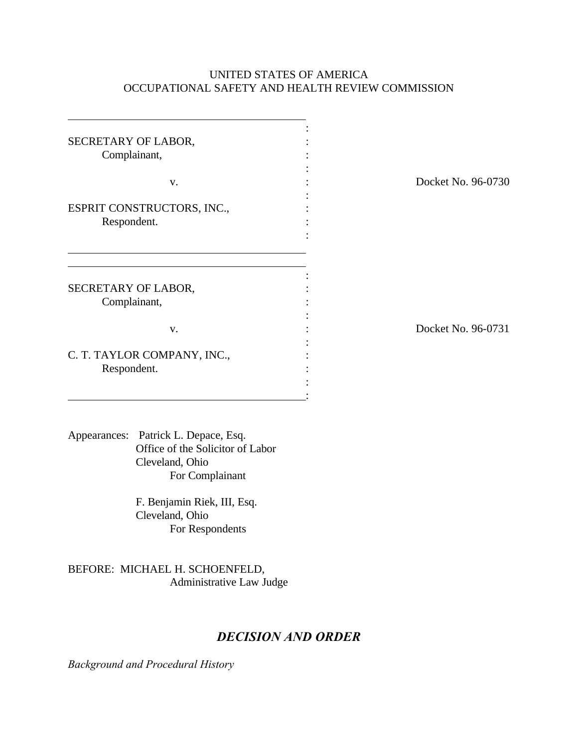# UNITED STATES OF AMERICA OCCUPATIONAL SAFETY AND HEALTH REVIEW COMMISSION

| SECRETARY OF LABOR,<br>Complainant,                                                                            |                    |
|----------------------------------------------------------------------------------------------------------------|--------------------|
| V.                                                                                                             | Docket No. 96-0730 |
| ESPRIT CONSTRUCTORS, INC.,<br>Respondent.                                                                      |                    |
| SECRETARY OF LABOR,<br>Complainant,                                                                            |                    |
| V.                                                                                                             | Docket No. 96-0731 |
| C. T. TAYLOR COMPANY, INC.,<br>Respondent.                                                                     |                    |
| Appearances: Patrick L. Depace, Esq.<br>Office of the Solicitor of Labor<br>Cleveland, Ohio<br>For Complainant |                    |
| F. Benjamin Riek, III, Esq.<br>Cleveland, Ohio<br>For Respondents                                              |                    |
| BEFORE: MICHAEL H. SCHOENFELD,<br>Administrative Law Judge                                                     |                    |
| <b>DECISION AND ORDER</b>                                                                                      |                    |

*Background and Procedural History*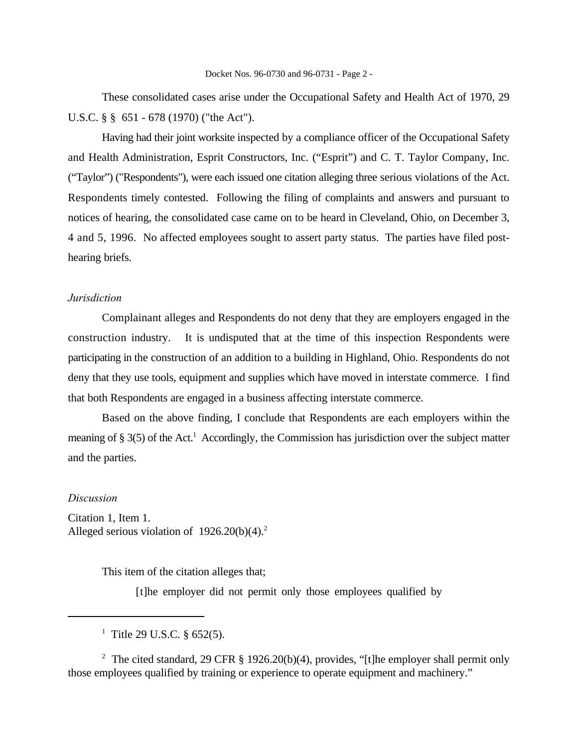These consolidated cases arise under the Occupational Safety and Health Act of 1970, 29 U.S.C. § § 651 - 678 (1970) ("the Act").

Having had their joint worksite inspected by a compliance officer of the Occupational Safety and Health Administration, Esprit Constructors, Inc. ("Esprit") and C. T. Taylor Company, Inc. ("Taylor") ("Respondents"), were each issued one citation alleging three serious violations of the Act. Respondents timely contested. Following the filing of complaints and answers and pursuant to notices of hearing, the consolidated case came on to be heard in Cleveland, Ohio, on December 3, 4 and 5, 1996. No affected employees sought to assert party status. The parties have filed posthearing briefs.

### *Jurisdiction*

Complainant alleges and Respondents do not deny that they are employers engaged in the construction industry. It is undisputed that at the time of this inspection Respondents were participating in the construction of an addition to a building in Highland, Ohio. Respondents do not deny that they use tools, equipment and supplies which have moved in interstate commerce. I find that both Respondents are engaged in a business affecting interstate commerce.

Based on the above finding, I conclude that Respondents are each employers within the meaning of  $\S 3(5)$  of the Act.<sup>1</sup> Accordingly, the Commission has jurisdiction over the subject matter and the parties.

### *Discussion*

Citation 1, Item 1. Alleged serious violation of  $1926.20(b)(4).$ <sup>2</sup>

This item of the citation alleges that;

[t]he employer did not permit only those employees qualified by

<sup>2</sup> The cited standard, 29 CFR § 1926.20(b)(4), provides, "[t]he employer shall permit only those employees qualified by training or experience to operate equipment and machinery."

<sup>&</sup>lt;sup>1</sup> Title 29 U.S.C.  $\frac{652(5)}{1}$ .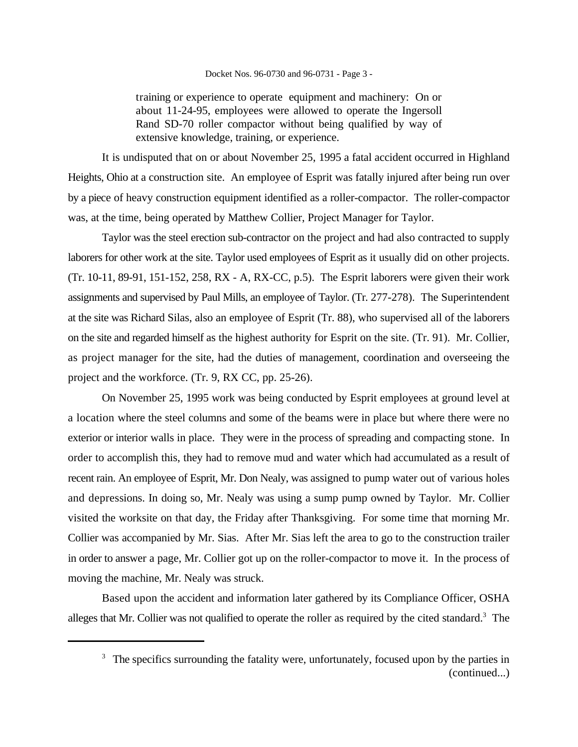#### Docket Nos. 96-0730 and 96-0731 - Page 3 -

training or experience to operate equipment and machinery: On or about 11-24-95, employees were allowed to operate the Ingersoll Rand SD-70 roller compactor without being qualified by way of extensive knowledge, training, or experience.

It is undisputed that on or about November 25, 1995 a fatal accident occurred in Highland Heights, Ohio at a construction site. An employee of Esprit was fatally injured after being run over by a piece of heavy construction equipment identified as a roller-compactor. The roller-compactor was, at the time, being operated by Matthew Collier, Project Manager for Taylor.

Taylor was the steel erection sub-contractor on the project and had also contracted to supply laborers for other work at the site. Taylor used employees of Esprit as it usually did on other projects. (Tr. 10-11, 89-91, 151-152, 258, RX - A, RX-CC, p.5). The Esprit laborers were given their work assignments and supervised by Paul Mills, an employee of Taylor. (Tr. 277-278). The Superintendent at the site was Richard Silas, also an employee of Esprit (Tr. 88), who supervised all of the laborers on the site and regarded himself as the highest authority for Esprit on the site. (Tr. 91). Mr. Collier, as project manager for the site, had the duties of management, coordination and overseeing the project and the workforce. (Tr. 9, RX CC, pp. 25-26).

On November 25, 1995 work was being conducted by Esprit employees at ground level at a location where the steel columns and some of the beams were in place but where there were no exterior or interior walls in place. They were in the process of spreading and compacting stone. In order to accomplish this, they had to remove mud and water which had accumulated as a result of recent rain. An employee of Esprit, Mr. Don Nealy, was assigned to pump water out of various holes and depressions. In doing so, Mr. Nealy was using a sump pump owned by Taylor. Mr. Collier visited the worksite on that day, the Friday after Thanksgiving. For some time that morning Mr. Collier was accompanied by Mr. Sias. After Mr. Sias left the area to go to the construction trailer in order to answer a page, Mr. Collier got up on the roller-compactor to move it. In the process of moving the machine, Mr. Nealy was struck.

Based upon the accident and information later gathered by its Compliance Officer, OSHA alleges that Mr. Collier was not qualified to operate the roller as required by the cited standard.<sup>3</sup> The

 $3\text{ }$ . The specifics surrounding the fatality were, unfortunately, focused upon by the parties in (continued...)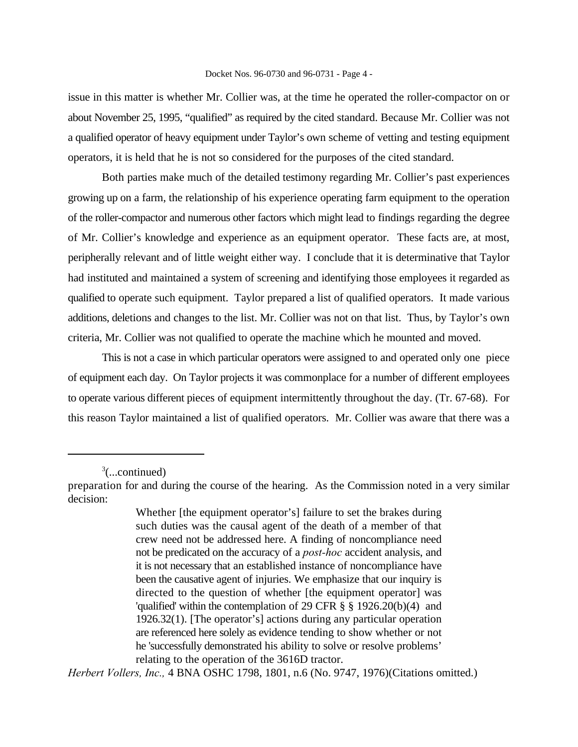#### Docket Nos. 96-0730 and 96-0731 - Page 4 -

issue in this matter is whether Mr. Collier was, at the time he operated the roller-compactor on or about November 25, 1995, "qualified" as required by the cited standard. Because Mr. Collier was not a qualified operator of heavy equipment under Taylor's own scheme of vetting and testing equipment operators, it is held that he is not so considered for the purposes of the cited standard.

Both parties make much of the detailed testimony regarding Mr. Collier's past experiences growing up on a farm, the relationship of his experience operating farm equipment to the operation of the roller-compactor and numerous other factors which might lead to findings regarding the degree of Mr. Collier's knowledge and experience as an equipment operator. These facts are, at most, peripherally relevant and of little weight either way. I conclude that it is determinative that Taylor had instituted and maintained a system of screening and identifying those employees it regarded as qualified to operate such equipment. Taylor prepared a list of qualified operators. It made various additions, deletions and changes to the list. Mr. Collier was not on that list. Thus, by Taylor's own criteria, Mr. Collier was not qualified to operate the machine which he mounted and moved.

This is not a case in which particular operators were assigned to and operated only one piece of equipment each day. On Taylor projects it was commonplace for a number of different employees to operate various different pieces of equipment intermittently throughout the day. (Tr. 67-68). For this reason Taylor maintained a list of qualified operators. Mr. Collier was aware that there was a

 $\frac{3}{2}$ (...continued)

*Herbert Vollers, Inc.,* 4 BNA OSHC 1798, 1801, n.6 (No. 9747, 1976)(Citations omitted.)

preparation for and during the course of the hearing. As the Commission noted in a very similar decision:

Whether [the equipment operator's] failure to set the brakes during such duties was the causal agent of the death of a member of that crew need not be addressed here. A finding of noncompliance need not be predicated on the accuracy of a *post-hoc* accident analysis, and it is not necessary that an established instance of noncompliance have been the causative agent of injuries. We emphasize that our inquiry is directed to the question of whether [the equipment operator] was 'qualified' within the contemplation of 29 CFR § § 1926.20(b)(4) and 1926.32(1). [The operator's] actions during any particular operation are referenced here solely as evidence tending to show whether or not he 'successfully demonstrated his ability to solve or resolve problems' relating to the operation of the 3616D tractor.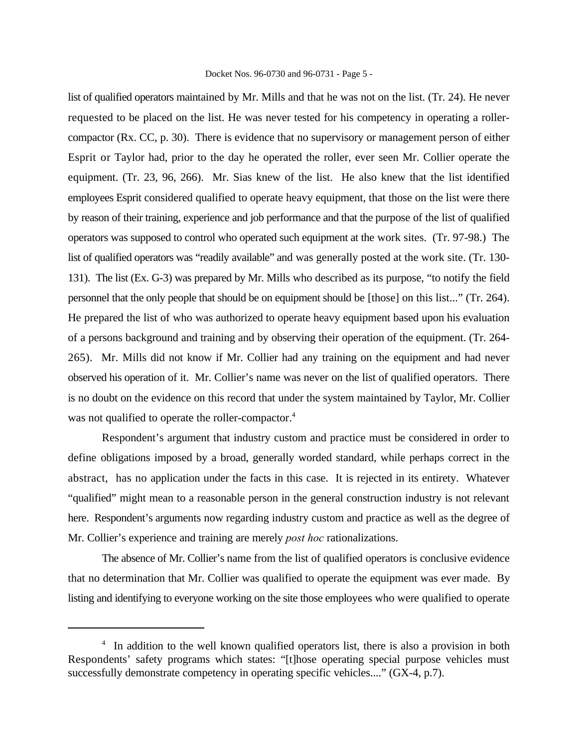#### Docket Nos. 96-0730 and 96-0731 - Page 5 -

list of qualified operators maintained by Mr. Mills and that he was not on the list. (Tr. 24). He never requested to be placed on the list. He was never tested for his competency in operating a rollercompactor (Rx. CC, p. 30). There is evidence that no supervisory or management person of either Esprit or Taylor had, prior to the day he operated the roller, ever seen Mr. Collier operate the equipment. (Tr. 23, 96, 266). Mr. Sias knew of the list. He also knew that the list identified employees Esprit considered qualified to operate heavy equipment, that those on the list were there by reason of their training, experience and job performance and that the purpose of the list of qualified operators was supposed to control who operated such equipment at the work sites. (Tr. 97-98.) The list of qualified operators was "readily available" and was generally posted at the work site. (Tr. 130- 131). The list (Ex. G-3) was prepared by Mr. Mills who described as its purpose, "to notify the field personnel that the only people that should be on equipment should be [those] on this list..." (Tr. 264). He prepared the list of who was authorized to operate heavy equipment based upon his evaluation of a persons background and training and by observing their operation of the equipment. (Tr. 264- 265). Mr. Mills did not know if Mr. Collier had any training on the equipment and had never observed his operation of it. Mr. Collier's name was never on the list of qualified operators. There is no doubt on the evidence on this record that under the system maintained by Taylor, Mr. Collier was not qualified to operate the roller-compactor.<sup>4</sup>

Respondent's argument that industry custom and practice must be considered in order to define obligations imposed by a broad, generally worded standard, while perhaps correct in the abstract, has no application under the facts in this case. It is rejected in its entirety. Whatever "qualified" might mean to a reasonable person in the general construction industry is not relevant here. Respondent's arguments now regarding industry custom and practice as well as the degree of Mr. Collier's experience and training are merely *post hoc* rationalizations.

The absence of Mr. Collier's name from the list of qualified operators is conclusive evidence that no determination that Mr. Collier was qualified to operate the equipment was ever made. By listing and identifying to everyone working on the site those employees who were qualified to operate

<sup>&</sup>lt;sup>4</sup> In addition to the well known qualified operators list, there is also a provision in both Respondents' safety programs which states: "[t]hose operating special purpose vehicles must successfully demonstrate competency in operating specific vehicles...." (GX-4, p.7).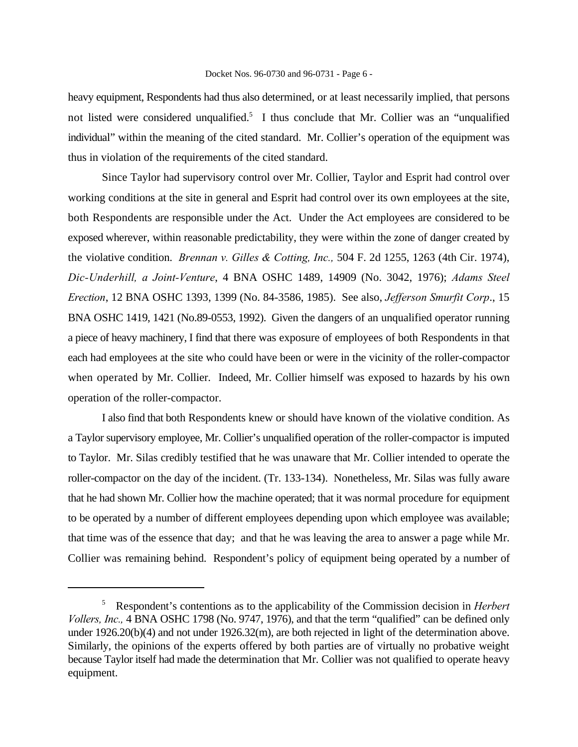heavy equipment, Respondents had thus also determined, or at least necessarily implied, that persons not listed were considered unqualified.<sup>5</sup> I thus conclude that Mr. Collier was an "unqualified individual" within the meaning of the cited standard. Mr. Collier's operation of the equipment was thus in violation of the requirements of the cited standard.

Since Taylor had supervisory control over Mr. Collier, Taylor and Esprit had control over working conditions at the site in general and Esprit had control over its own employees at the site, both Respondents are responsible under the Act. Under the Act employees are considered to be exposed wherever, within reasonable predictability, they were within the zone of danger created by the violative condition. *Brennan v. Gilles & Cotting, Inc.,* 504 F. 2d 1255, 1263 (4th Cir. 1974), *Dic-Underhill, a Joint-Venture*, 4 BNA OSHC 1489, 14909 (No. 3042, 1976); *Adams Steel Erection*, 12 BNA OSHC 1393, 1399 (No. 84-3586, 1985). See also, *Jefferson Smurfit Corp*., 15 BNA OSHC 1419, 1421 (No.89-0553, 1992). Given the dangers of an unqualified operator running a piece of heavy machinery, I find that there was exposure of employees of both Respondents in that each had employees at the site who could have been or were in the vicinity of the roller-compactor when operated by Mr. Collier. Indeed, Mr. Collier himself was exposed to hazards by his own operation of the roller-compactor.

I also find that both Respondents knew or should have known of the violative condition. As a Taylor supervisory employee, Mr. Collier's unqualified operation of the roller-compactor is imputed to Taylor. Mr. Silas credibly testified that he was unaware that Mr. Collier intended to operate the roller-compactor on the day of the incident. (Tr. 133-134). Nonetheless, Mr. Silas was fully aware that he had shown Mr. Collier how the machine operated; that it was normal procedure for equipment to be operated by a number of different employees depending upon which employee was available; that time was of the essence that day; and that he was leaving the area to answer a page while Mr. Collier was remaining behind. Respondent's policy of equipment being operated by a number of

Respondent's contentions as to the applicability of the Commission decision in *Herbert* 5 *Vollers, Inc.,* 4 BNA OSHC 1798 (No. 9747, 1976), and that the term "qualified" can be defined only under 1926.20(b)(4) and not under 1926.32(m), are both rejected in light of the determination above. Similarly, the opinions of the experts offered by both parties are of virtually no probative weight because Taylor itself had made the determination that Mr. Collier was not qualified to operate heavy equipment.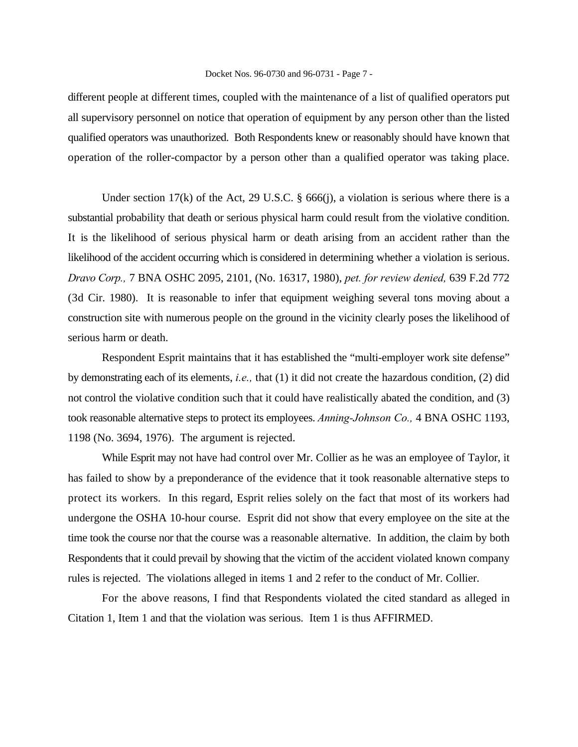#### Docket Nos. 96-0730 and 96-0731 - Page 7 -

different people at different times, coupled with the maintenance of a list of qualified operators put all supervisory personnel on notice that operation of equipment by any person other than the listed qualified operators was unauthorized. Both Respondents knew or reasonably should have known that operation of the roller-compactor by a person other than a qualified operator was taking place.

Under section 17(k) of the Act, 29 U.S.C.  $\S$  666(j), a violation is serious where there is a substantial probability that death or serious physical harm could result from the violative condition. It is the likelihood of serious physical harm or death arising from an accident rather than the likelihood of the accident occurring which is considered in determining whether a violation is serious. *Dravo Corp.,* 7 BNA OSHC 2095, 2101, (No. 16317, 1980), *pet. for review denied,* 639 F.2d 772 (3d Cir. 1980). It is reasonable to infer that equipment weighing several tons moving about a construction site with numerous people on the ground in the vicinity clearly poses the likelihood of serious harm or death.

Respondent Esprit maintains that it has established the "multi-employer work site defense" by demonstrating each of its elements, *i.e.,* that (1) it did not create the hazardous condition, (2) did not control the violative condition such that it could have realistically abated the condition, and (3) took reasonable alternative steps to protect its employees. *Anning-Johnson Co.,* 4 BNA OSHC 1193, 1198 (No. 3694, 1976). The argument is rejected.

While Esprit may not have had control over Mr. Collier as he was an employee of Taylor, it has failed to show by a preponderance of the evidence that it took reasonable alternative steps to protect its workers. In this regard, Esprit relies solely on the fact that most of its workers had undergone the OSHA 10-hour course. Esprit did not show that every employee on the site at the time took the course nor that the course was a reasonable alternative. In addition, the claim by both Respondents that it could prevail by showing that the victim of the accident violated known company rules is rejected. The violations alleged in items 1 and 2 refer to the conduct of Mr. Collier.

For the above reasons, I find that Respondents violated the cited standard as alleged in Citation 1, Item 1 and that the violation was serious. Item 1 is thus AFFIRMED.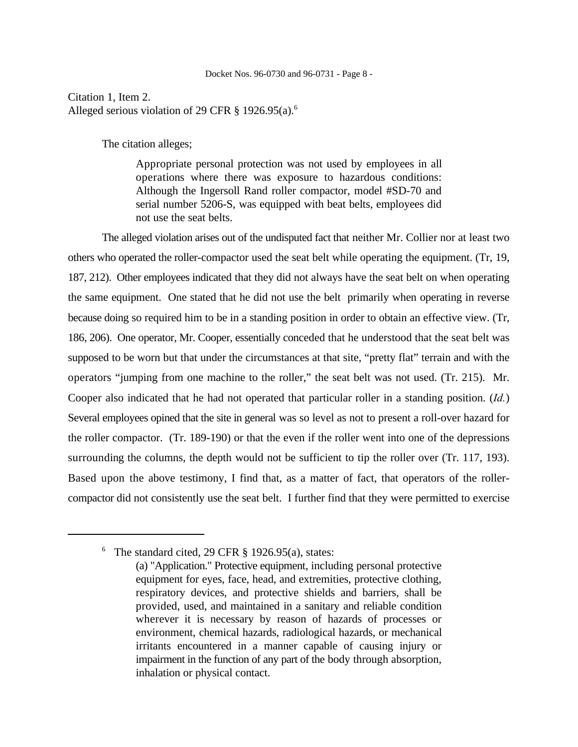Citation 1, Item 2. Alleged serious violation of 29 CFR  $\S$  1926.95(a).<sup>6</sup>

The citation alleges;

Appropriate personal protection was not used by employees in all operations where there was exposure to hazardous conditions: Although the Ingersoll Rand roller compactor, model #SD-70 and serial number 5206-S, was equipped with beat belts, employees did not use the seat belts.

The alleged violation arises out of the undisputed fact that neither Mr. Collier nor at least two others who operated the roller-compactor used the seat belt while operating the equipment. (Tr, 19, 187, 212). Other employees indicated that they did not always have the seat belt on when operating the same equipment. One stated that he did not use the belt primarily when operating in reverse because doing so required him to be in a standing position in order to obtain an effective view. (Tr, 186, 206). One operator, Mr. Cooper, essentially conceded that he understood that the seat belt was supposed to be worn but that under the circumstances at that site, "pretty flat" terrain and with the operators "jumping from one machine to the roller," the seat belt was not used. (Tr. 215). Mr. Cooper also indicated that he had not operated that particular roller in a standing position. (*Id.*) Several employees opined that the site in general was so level as not to present a roll-over hazard for the roller compactor. (Tr. 189-190) or that the even if the roller went into one of the depressions surrounding the columns, the depth would not be sufficient to tip the roller over (Tr. 117, 193). Based upon the above testimony, I find that, as a matter of fact, that operators of the rollercompactor did not consistently use the seat belt. I further find that they were permitted to exercise

 $6$  The standard cited, 29 CFR  $\S$  1926.95(a), states:

<sup>(</sup>a) "Application." Protective equipment, including personal protective equipment for eyes, face, head, and extremities, protective clothing, respiratory devices, and protective shields and barriers, shall be provided, used, and maintained in a sanitary and reliable condition wherever it is necessary by reason of hazards of processes or environment, chemical hazards, radiological hazards, or mechanical irritants encountered in a manner capable of causing injury or impairment in the function of any part of the body through absorption, inhalation or physical contact.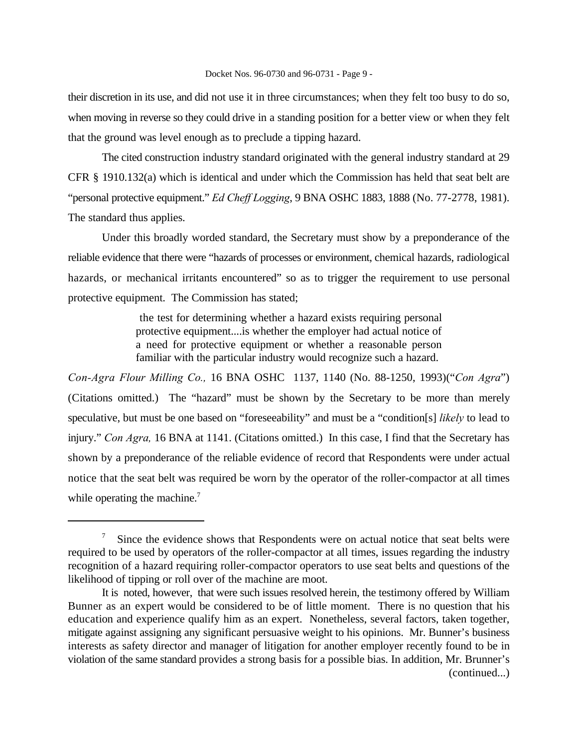their discretion in its use, and did not use it in three circumstances; when they felt too busy to do so, when moving in reverse so they could drive in a standing position for a better view or when they felt that the ground was level enough as to preclude a tipping hazard.

The cited construction industry standard originated with the general industry standard at 29 CFR § 1910.132(a) which is identical and under which the Commission has held that seat belt are "personal protective equipment." *Ed Cheff Logging*, 9 BNA OSHC 1883, 1888 (No. 77-2778, 1981). The standard thus applies.

Under this broadly worded standard, the Secretary must show by a preponderance of the reliable evidence that there were "hazards of processes or environment, chemical hazards, radiological hazards, or mechanical irritants encountered" so as to trigger the requirement to use personal protective equipment. The Commission has stated;

> the test for determining whether a hazard exists requiring personal protective equipment....is whether the employer had actual notice of a need for protective equipment or whether a reasonable person familiar with the particular industry would recognize such a hazard.

*Con-Agra Flour Milling Co.,* 16 BNA OSHC 1137, 1140 (No. 88-1250, 1993)("*Con Agra*") (Citations omitted.) The "hazard" must be shown by the Secretary to be more than merely speculative, but must be one based on "foreseeability" and must be a "condition[s] *likely* to lead to injury." *Con Agra,* 16 BNA at 1141. (Citations omitted.) In this case, I find that the Secretary has shown by a preponderance of the reliable evidence of record that Respondents were under actual notice that the seat belt was required be worn by the operator of the roller-compactor at all times while operating the machine.<sup>7</sup>

 $\frac{1}{2}$  Since the evidence shows that Respondents were on actual notice that seat belts were required to be used by operators of the roller-compactor at all times, issues regarding the industry recognition of a hazard requiring roller-compactor operators to use seat belts and questions of the likelihood of tipping or roll over of the machine are moot.

It is noted, however, that were such issues resolved herein, the testimony offered by William Bunner as an expert would be considered to be of little moment. There is no question that his education and experience qualify him as an expert. Nonetheless, several factors, taken together, mitigate against assigning any significant persuasive weight to his opinions. Mr. Bunner's business interests as safety director and manager of litigation for another employer recently found to be in violation of the same standard provides a strong basis for a possible bias. In addition, Mr. Brunner's (continued...)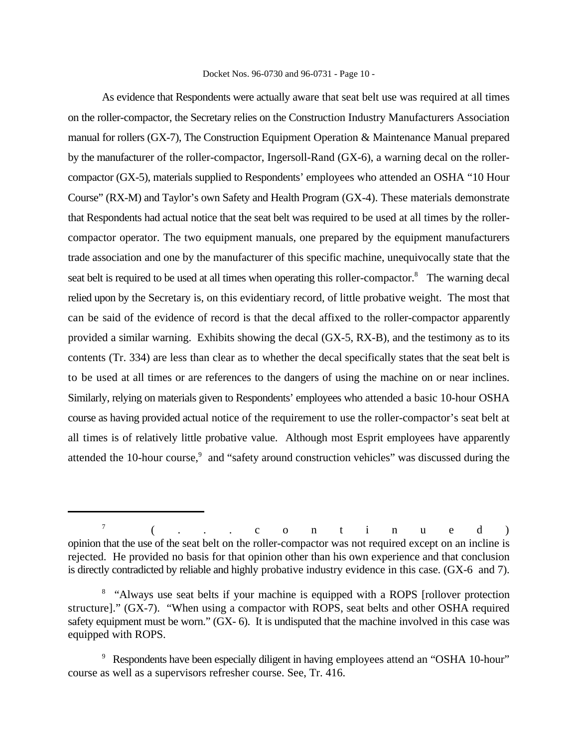#### Docket Nos. 96-0730 and 96-0731 - Page 10 -

As evidence that Respondents were actually aware that seat belt use was required at all times on the roller-compactor, the Secretary relies on the Construction Industry Manufacturers Association manual for rollers (GX-7), The Construction Equipment Operation & Maintenance Manual prepared by the manufacturer of the roller-compactor, Ingersoll-Rand (GX-6), a warning decal on the rollercompactor (GX-5), materials supplied to Respondents' employees who attended an OSHA "10 Hour Course" (RX-M) and Taylor's own Safety and Health Program (GX-4). These materials demonstrate that Respondents had actual notice that the seat belt was required to be used at all times by the rollercompactor operator. The two equipment manuals, one prepared by the equipment manufacturers trade association and one by the manufacturer of this specific machine, unequivocally state that the seat belt is required to be used at all times when operating this roller-compactor.<sup>8</sup> The warning decal relied upon by the Secretary is, on this evidentiary record, of little probative weight. The most that can be said of the evidence of record is that the decal affixed to the roller-compactor apparently provided a similar warning. Exhibits showing the decal (GX-5, RX-B), and the testimony as to its contents (Tr. 334) are less than clear as to whether the decal specifically states that the seat belt is to be used at all times or are references to the dangers of using the machine on or near inclines. Similarly, relying on materials given to Respondents' employees who attended a basic 10-hour OSHA course as having provided actual notice of the requirement to use the roller-compactor's seat belt at all times is of relatively little probative value. Although most Esprit employees have apparently attended the 10-hour course, $\degree$  and "safety around construction vehicles" was discussed during the

<sup>(...</sup>continued ) 7 opinion that the use of the seat belt on the roller-compactor was not required except on an incline is rejected. He provided no basis for that opinion other than his own experience and that conclusion is directly contradicted by reliable and highly probative industry evidence in this case. (GX-6 and 7).

<sup>&</sup>lt;sup>8</sup> "Always use seat belts if your machine is equipped with a ROPS [rollover protection structure]." (GX-7). "When using a compactor with ROPS, seat belts and other OSHA required safety equipment must be worn." (GX- 6). It is undisputed that the machine involved in this case was equipped with ROPS.

<sup>&</sup>lt;sup>9</sup> Respondents have been especially diligent in having employees attend an "OSHA 10-hour" course as well as a supervisors refresher course. See, Tr. 416.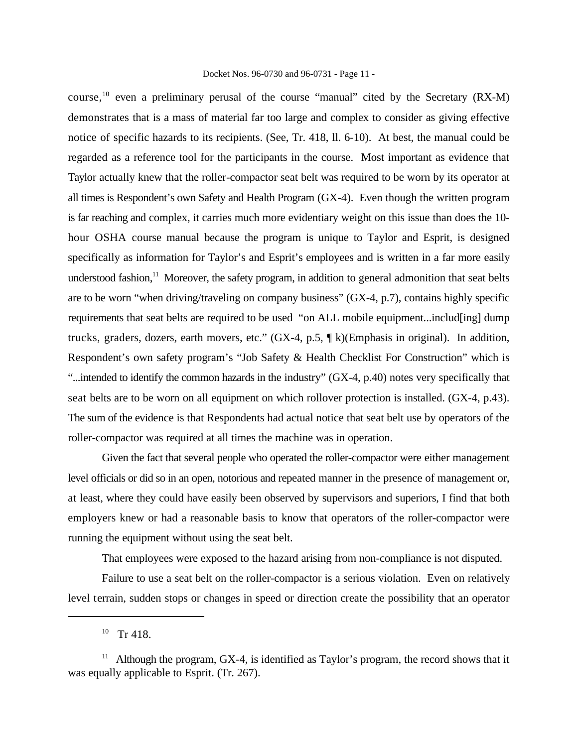#### Docket Nos. 96-0730 and 96-0731 - Page 11 -

course,  $^{10}$  even a preliminary perusal of the course "manual" cited by the Secretary (RX-M) demonstrates that is a mass of material far too large and complex to consider as giving effective notice of specific hazards to its recipients. (See, Tr. 418, ll. 6-10). At best, the manual could be regarded as a reference tool for the participants in the course. Most important as evidence that Taylor actually knew that the roller-compactor seat belt was required to be worn by its operator at all times is Respondent's own Safety and Health Program (GX-4). Even though the written program is far reaching and complex, it carries much more evidentiary weight on this issue than does the 10 hour OSHA course manual because the program is unique to Taylor and Esprit, is designed specifically as information for Taylor's and Esprit's employees and is written in a far more easily understood fashion, $\frac{11}{11}$  Moreover, the safety program, in addition to general admonition that seat belts are to be worn "when driving/traveling on company business" (GX-4, p.7), contains highly specific requirements that seat belts are required to be used "on ALL mobile equipment...includ[ing] dump trucks, graders, dozers, earth movers, etc." (GX-4, p.5, ¶ k)(Emphasis in original). In addition, Respondent's own safety program's "Job Safety & Health Checklist For Construction" which is "...intended to identify the common hazards in the industry" (GX-4, p.40) notes very specifically that seat belts are to be worn on all equipment on which rollover protection is installed. (GX-4, p.43). The sum of the evidence is that Respondents had actual notice that seat belt use by operators of the roller-compactor was required at all times the machine was in operation.

Given the fact that several people who operated the roller-compactor were either management level officials or did so in an open, notorious and repeated manner in the presence of management or, at least, where they could have easily been observed by supervisors and superiors, I find that both employers knew or had a reasonable basis to know that operators of the roller-compactor were running the equipment without using the seat belt.

That employees were exposed to the hazard arising from non-compliance is not disputed.

Failure to use a seat belt on the roller-compactor is a serious violation. Even on relatively level terrain, sudden stops or changes in speed or direction create the possibility that an operator

 $10$  Tr 418.

<sup>&</sup>lt;sup>11</sup> Although the program, GX-4, is identified as Taylor's program, the record shows that it was equally applicable to Esprit. (Tr. 267).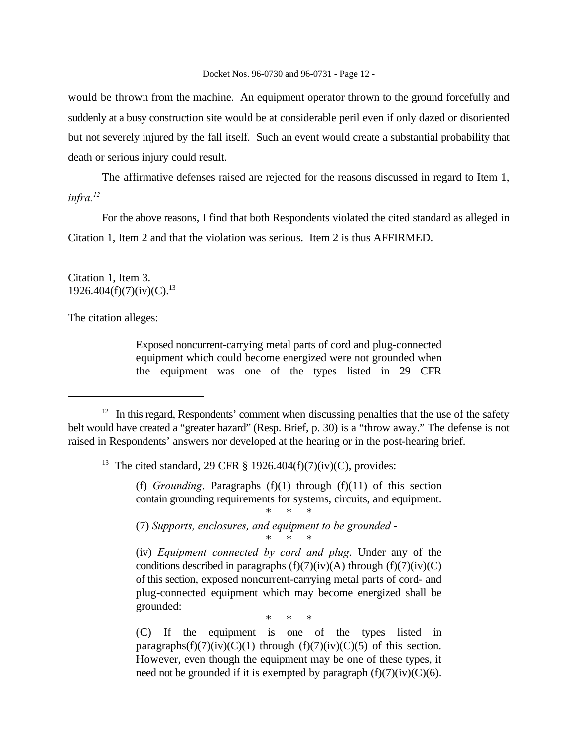would be thrown from the machine. An equipment operator thrown to the ground forcefully and suddenly at a busy construction site would be at considerable peril even if only dazed or disoriented but not severely injured by the fall itself. Such an event would create a substantial probability that death or serious injury could result.

The affirmative defenses raised are rejected for the reasons discussed in regard to Item 1, *infra.<sup>12</sup>*

For the above reasons, I find that both Respondents violated the cited standard as alleged in Citation 1, Item 2 and that the violation was serious. Item 2 is thus AFFIRMED.

Citation 1, Item 3.  $1926.404(f)(7)(iv)(C).^{13}$ 

The citation alleges:

Exposed noncurrent-carrying metal parts of cord and plug-connected equipment which could become energized were not grounded when the equipment was one of the types listed in 29 CFR

<sup>13</sup> The cited standard, 29 CFR § 1926.404(f)(7)(iv)(C), provides:

(f) *Grounding*. Paragraphs  $(f)(1)$  through  $(f)(11)$  of this section contain grounding requirements for systems, circuits, and equipment.

\* \* \*

(7) *Supports, enclosures, and equipment to be grounded* -

\* \* \* (iv) *Equipment connected by cord and plug*. Under any of the conditions described in paragraphs  $(f)(7)(iv)(A)$  through  $(f)(7)(iv)(C)$ of this section, exposed noncurrent-carrying metal parts of cord- and plug-connected equipment which may become energized shall be grounded:

\* \* \*

(C) If the equipment is one of the types listed in paragraphs(f)(7)(iv)(C)(1) through (f)(7)(iv)(C)(5) of this section. However, even though the equipment may be one of these types, it need not be grounded if it is exempted by paragraph  $(f)(7)(iv)(C)(6)$ .

 $12$  In this regard, Respondents' comment when discussing penalties that the use of the safety belt would have created a "greater hazard" (Resp. Brief, p. 30) is a "throw away." The defense is not raised in Respondents' answers nor developed at the hearing or in the post-hearing brief.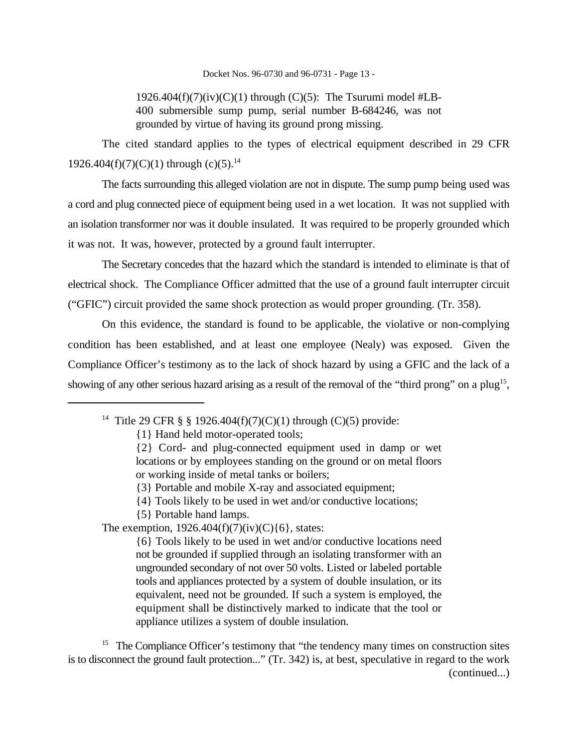### Docket Nos. 96-0730 and 96-0731 - Page 13 -

1926.404 $(f)(7)(iv)(C)(1)$  through  $(C)(5)$ : The Tsurumi model #LB-400 submersible sump pump, serial number B-684246, was not grounded by virtue of having its ground prong missing.

The cited standard applies to the types of electrical equipment described in 29 CFR 1926.404(f)(7)(C)(1) through (c)(5).<sup>14</sup>

The facts surrounding this alleged violation are not in dispute. The sump pump being used was a cord and plug connected piece of equipment being used in a wet location. It was not supplied with an isolation transformer nor was it double insulated. It was required to be properly grounded which it was not. It was, however, protected by a ground fault interrupter.

The Secretary concedes that the hazard which the standard is intended to eliminate is that of electrical shock. The Compliance Officer admitted that the use of a ground fault interrupter circuit ("GFIC") circuit provided the same shock protection as would proper grounding. (Tr. 358).

On this evidence, the standard is found to be applicable, the violative or non-complying condition has been established, and at least one employee (Nealy) was exposed. Given the Compliance Officer's testimony as to the lack of shock hazard by using a GFIC and the lack of a showing of any other serious hazard arising as a result of the removal of the "third prong" on a plug<sup>15</sup>,

{1} Hand held motor-operated tools;

{4} Tools likely to be used in wet and/or conductive locations;

{5} Portable hand lamps.

The exemption,  $1926.404(f)(7)(iv)(C){6}$ , states:

{6} Tools likely to be used in wet and/or conductive locations need not be grounded if supplied through an isolating transformer with an ungrounded secondary of not over 50 volts. Listed or labeled portable tools and appliances protected by a system of double insulation, or its equivalent, need not be grounded. If such a system is employed, the equipment shall be distinctively marked to indicate that the tool or appliance utilizes a system of double insulation.

 $15$  The Compliance Officer's testimony that "the tendency many times on construction sites is to disconnect the ground fault protection..." (Tr. 342) is, at best, speculative in regard to the work (continued...)

<sup>&</sup>lt;sup>14</sup> Title 29 CFR § § 1926.404(f)(7)(C)(1) through (C)(5) provide:

<sup>{2}</sup> Cord- and plug-connected equipment used in damp or wet locations or by employees standing on the ground or on metal floors or working inside of metal tanks or boilers;

<sup>{3}</sup> Portable and mobile X-ray and associated equipment;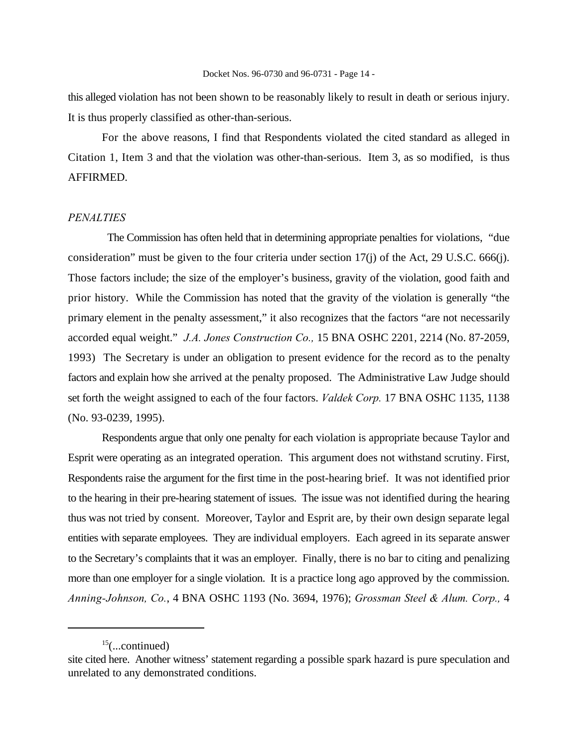this alleged violation has not been shown to be reasonably likely to result in death or serious injury. It is thus properly classified as other-than-serious.

For the above reasons, I find that Respondents violated the cited standard as alleged in Citation 1, Item 3 and that the violation was other-than-serious. Item 3, as so modified, is thus AFFIRMED.

## *PENALTIES*

 The Commission has often held that in determining appropriate penalties for violations, "due consideration" must be given to the four criteria under section 17(j) of the Act, 29 U.S.C. 666(j). Those factors include; the size of the employer's business, gravity of the violation, good faith and prior history. While the Commission has noted that the gravity of the violation is generally "the primary element in the penalty assessment," it also recognizes that the factors "are not necessarily accorded equal weight." *J.A. Jones Construction Co.,* 15 BNA OSHC 2201, 2214 (No. 87-2059, 1993) The Secretary is under an obligation to present evidence for the record as to the penalty factors and explain how she arrived at the penalty proposed. The Administrative Law Judge should set forth the weight assigned to each of the four factors. *Valdek Corp.* 17 BNA OSHC 1135, 1138 (No. 93-0239, 1995).

Respondents argue that only one penalty for each violation is appropriate because Taylor and Esprit were operating as an integrated operation. This argument does not withstand scrutiny. First, Respondents raise the argument for the first time in the post-hearing brief. It was not identified prior to the hearing in their pre-hearing statement of issues. The issue was not identified during the hearing thus was not tried by consent. Moreover, Taylor and Esprit are, by their own design separate legal entities with separate employees. They are individual employers. Each agreed in its separate answer to the Secretary's complaints that it was an employer. Finally, there is no bar to citing and penalizing more than one employer for a single violation. It is a practice long ago approved by the commission. *Anning-Johnson, Co.*, 4 BNA OSHC 1193 (No. 3694, 1976); *Grossman Steel & Alum. Corp.,* 4

 $^{15}$ (...continued)

site cited here. Another witness' statement regarding a possible spark hazard is pure speculation and unrelated to any demonstrated conditions.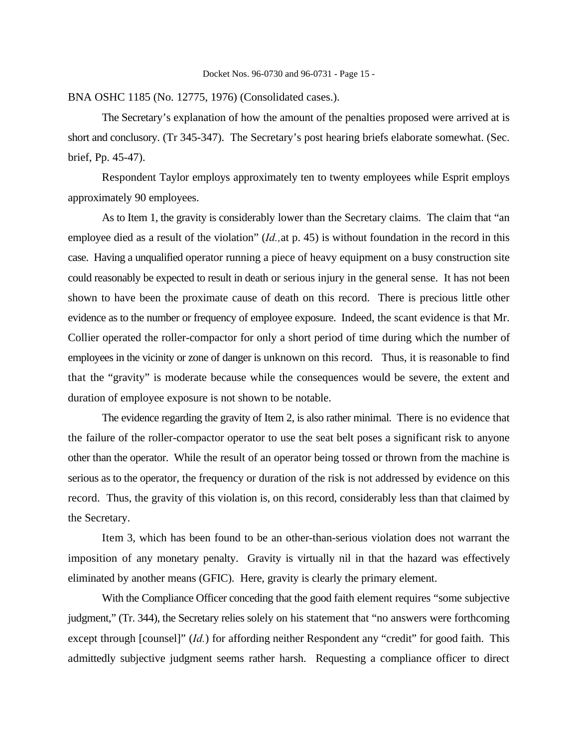BNA OSHC 1185 (No. 12775, 1976) (Consolidated cases.).

The Secretary's explanation of how the amount of the penalties proposed were arrived at is short and conclusory. (Tr 345-347). The Secretary's post hearing briefs elaborate somewhat. (Sec. brief, Pp. 45-47).

Respondent Taylor employs approximately ten to twenty employees while Esprit employs approximately 90 employees.

As to Item 1, the gravity is considerably lower than the Secretary claims. The claim that "an employee died as a result of the violation" (*Id.,*at p. 45) is without foundation in the record in this case. Having a unqualified operator running a piece of heavy equipment on a busy construction site could reasonably be expected to result in death or serious injury in the general sense. It has not been shown to have been the proximate cause of death on this record. There is precious little other evidence as to the number or frequency of employee exposure. Indeed, the scant evidence is that Mr. Collier operated the roller-compactor for only a short period of time during which the number of employees in the vicinity or zone of danger is unknown on this record. Thus, it is reasonable to find that the "gravity" is moderate because while the consequences would be severe, the extent and duration of employee exposure is not shown to be notable.

The evidence regarding the gravity of Item 2, is also rather minimal. There is no evidence that the failure of the roller-compactor operator to use the seat belt poses a significant risk to anyone other than the operator. While the result of an operator being tossed or thrown from the machine is serious as to the operator, the frequency or duration of the risk is not addressed by evidence on this record. Thus, the gravity of this violation is, on this record, considerably less than that claimed by the Secretary.

Item 3, which has been found to be an other-than-serious violation does not warrant the imposition of any monetary penalty. Gravity is virtually nil in that the hazard was effectively eliminated by another means (GFIC). Here, gravity is clearly the primary element.

With the Compliance Officer conceding that the good faith element requires "some subjective judgment," (Tr. 344), the Secretary relies solely on his statement that "no answers were forthcoming except through [counsel]" (*Id.*) for affording neither Respondent any "credit" for good faith. This admittedly subjective judgment seems rather harsh. Requesting a compliance officer to direct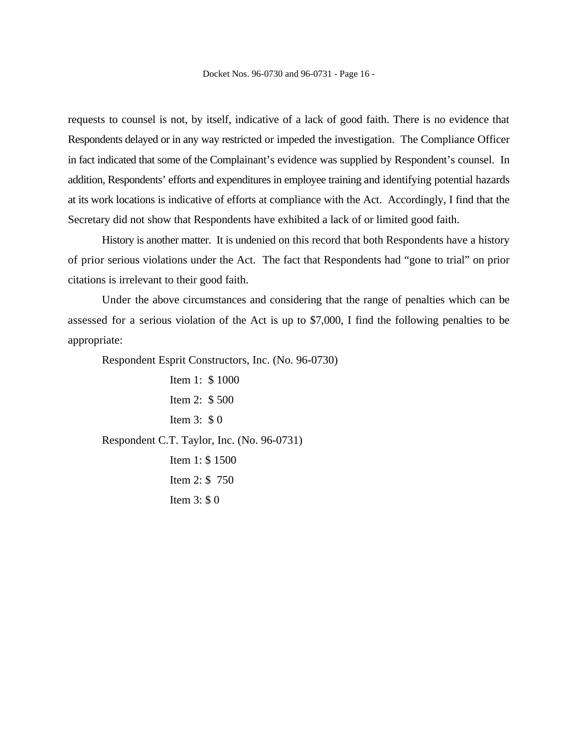requests to counsel is not, by itself, indicative of a lack of good faith. There is no evidence that Respondents delayed or in any way restricted or impeded the investigation. The Compliance Officer in fact indicated that some of the Complainant's evidence was supplied by Respondent's counsel. In addition, Respondents' efforts and expenditures in employee training and identifying potential hazards at its work locations is indicative of efforts at compliance with the Act. Accordingly, I find that the Secretary did not show that Respondents have exhibited a lack of or limited good faith.

History is another matter. It is undenied on this record that both Respondents have a history of prior serious violations under the Act. The fact that Respondents had "gone to trial" on prior citations is irrelevant to their good faith.

Under the above circumstances and considering that the range of penalties which can be assessed for a serious violation of the Act is up to \$7,000, I find the following penalties to be appropriate:

Respondent Esprit Constructors, Inc. (No. 96-0730)

Item 1: \$ 1000 Item 2: \$ 500 Item 3: \$ 0 Respondent C.T. Taylor, Inc. (No. 96-0731) Item 1: \$ 1500 Item 2: \$ 750 Item 3: \$ 0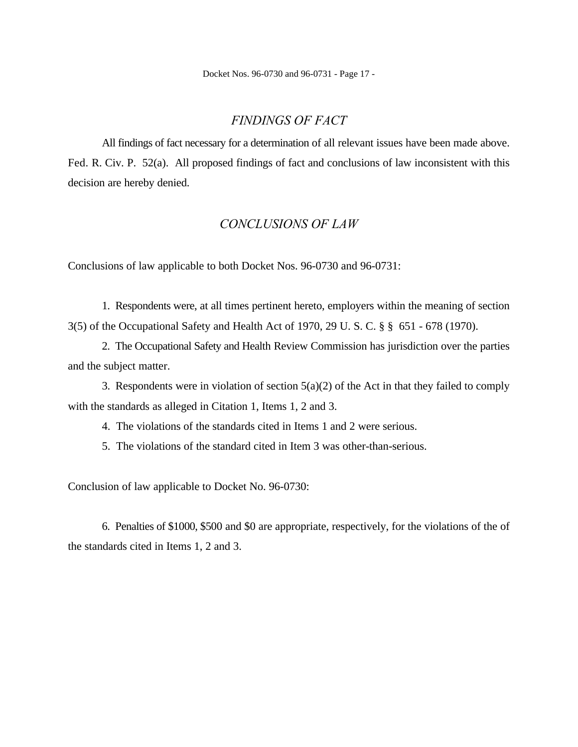Docket Nos. 96-0730 and 96-0731 - Page 17 -

## *FINDINGS OF FACT*

All findings of fact necessary for a determination of all relevant issues have been made above. Fed. R. Civ. P. 52(a). All proposed findings of fact and conclusions of law inconsistent with this decision are hereby denied.

# *CONCLUSIONS OF LAW*

Conclusions of law applicable to both Docket Nos. 96-0730 and 96-0731:

1. Respondents were, at all times pertinent hereto, employers within the meaning of section 3(5) of the Occupational Safety and Health Act of 1970, 29 U. S. C. § § 651 - 678 (1970).

2. The Occupational Safety and Health Review Commission has jurisdiction over the parties and the subject matter.

3. Respondents were in violation of section  $5(a)(2)$  of the Act in that they failed to comply with the standards as alleged in Citation 1, Items 1, 2 and 3.

4. The violations of the standards cited in Items 1 and 2 were serious.

5. The violations of the standard cited in Item 3 was other-than-serious.

Conclusion of law applicable to Docket No. 96-0730:

6. Penalties of \$1000, \$500 and \$0 are appropriate, respectively, for the violations of the of the standards cited in Items 1, 2 and 3.